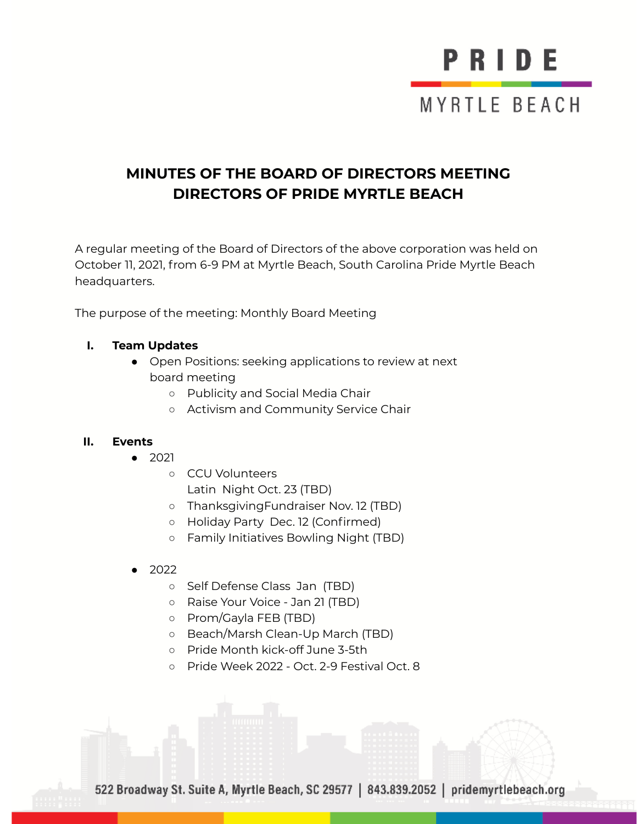## PRIDE MYRTLE BEACH

#### **MINUTES OF THE BOARD OF DIRECTORS MEETING DIRECTORS OF PRIDE MYRTLE BEACH**

A regular meeting of the Board of Directors of the above corporation was held on October 11, 2021, from 6-9 PM at Myrtle Beach, South Carolina Pride Myrtle Beach headquarters.

The purpose of the meeting: Monthly Board Meeting

#### **I. Team Updates**

- Open Positions: seeking applications to review at next board meeting
	- **○** Publicity and Social Media Chair
	- **○** Activism and Community Service Chair

#### **II. Events**

- 2021
	- CCU Volunteers Latin Night Oct. 23 (TBD)
	- ThanksgivingFundraiser Nov. 12 (TBD)
	- Holiday Party Dec. 12 (Confirmed)
	- Family Initiatives Bowling Night (TBD)
- 2022
	- Self Defense Class Jan (TBD)
	- Raise Your Voice Jan 21 (TBD)
	- Prom/Gayla FEB (TBD)
	- Beach/Marsh Clean-Up March (TBD)
	- Pride Month kick-off June 3-5th
	- Pride Week 2022 Oct. 2-9 Festival Oct. 8